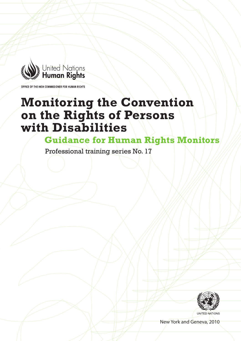

OF THE HIGH COMMISSIONER FOR HUMAN RIGHTS

# **Monitoring the Convention on the Rights of Persons with Disabilities**

**Guidance for Human Rights Monitors** 

Professional training series No. 17



New York and Geneva, 2010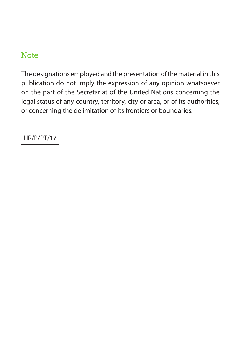## **Note**

The designations employed and the presentation of the material in this publication do not imply the expression of any opinion whatsoever on the part of the Secretariat of the United Nations concerning the legal status of any country, territory, city or area, or of its authorities, or concerning the delimitation of its frontiers or boundaries.

HR/P/PT/17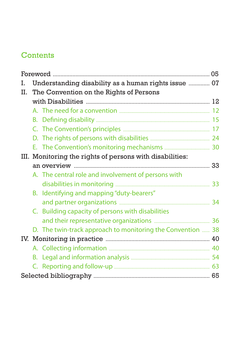## **Contents**

| I. |  | Understanding disability as a human rights issue  07        |    |  |
|----|--|-------------------------------------------------------------|----|--|
| Π. |  | The Convention on the Rights of Persons                     |    |  |
|    |  |                                                             |    |  |
|    |  |                                                             |    |  |
|    |  |                                                             |    |  |
|    |  |                                                             |    |  |
|    |  |                                                             |    |  |
|    |  |                                                             |    |  |
|    |  | III. Monitoring the rights of persons with disabilities:    |    |  |
|    |  |                                                             | 33 |  |
|    |  | A. The central role and involvement of persons with         |    |  |
|    |  |                                                             | 33 |  |
|    |  | B. Identifying and mapping "duty-bearers"                   |    |  |
|    |  |                                                             | 34 |  |
|    |  | C. Building capacity of persons with disabilities           |    |  |
|    |  |                                                             |    |  |
|    |  | D. The twin-track approach to monitoring the Convention  38 |    |  |
|    |  |                                                             |    |  |
|    |  |                                                             |    |  |
|    |  |                                                             |    |  |
|    |  |                                                             |    |  |
|    |  |                                                             |    |  |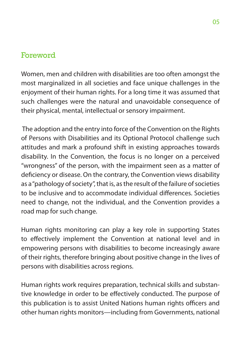## <span id="page-4-0"></span>Foreword

Women, men and children with disabilities are too often amongst the most marginalized in all societies and face unique challenges in the enjoyment of their human rights. For a long time it was assumed that such challenges were the natural and unavoidable consequence of their physical, mental, intellectual or sensory impairment.

 The adoption and the entry into force of the Convention on the Rights of Persons with Disabilities and its Optional Protocol challenge such attitudes and mark a profound shift in existing approaches towards disability. In the Convention, the focus is no longer on a perceived "wrongness" of the person, with the impairment seen as a matter of deficiency or disease. On the contrary, the Convention views disability as a "pathology of society", that is, as the result of the failure of societies to be inclusive and to accommodate individual differences. Societies need to change, not the individual, and the Convention provides a road map for such change.

Human rights monitoring can play a key role in supporting States to effectively implement the Convention at national level and in empowering persons with disabilities to become increasingly aware of their rights, therefore bringing about positive change in the lives of persons with disabilities across regions.

Human rights work requires preparation, technical skills and substantive knowledge in order to be effectively conducted. The purpose of this publication is to assist United Nations human rights officers and other human rights monitors—including from Governments, national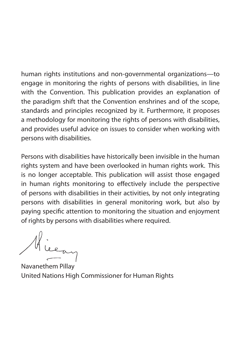human rights institutions and non-governmental organizations—to engage in monitoring the rights of persons with disabilities, in line with the Convention. This publication provides an explanation of the paradigm shift that the Convention enshrines and of the scope, standards and principles recognized by it. Furthermore, it proposes a methodology for monitoring the rights of persons with disabilities, and provides useful advice on issues to consider when working with persons with disabilities.

Persons with disabilities have historically been invisible in the human rights system and have been overlooked in human rights work. This is no longer acceptable. This publication will assist those engaged in human rights monitoring to effectively include the perspective of persons with disabilities in their activities, by not only integrating persons with disabilities in general monitoring work, but also by paying specific attention to monitoring the situation and enjoyment of rights by persons with disabilities where required.

Hiera

Navanethem Pillay United Nations High Commissioner for Human Rights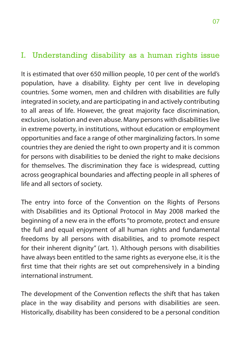## <span id="page-6-0"></span>I. Understanding disability as a human rights issue

It is estimated that over 650 million people, 10 per cent of the world's population, have a disability. Eighty per cent live in developing countries. Some women, men and children with disabilities are fully integrated in society, and are participating in and actively contributing to all areas of life. However, the great majority face discrimination, exclusion, isolation and even abuse. Many persons with disabilities live in extreme poverty, in institutions, without education or employment opportunities and face a range of other marginalizing factors. In some countries they are denied the right to own property and it is common for persons with disabilities to be denied the right to make decisions for themselves. The discrimination they face is widespread, cutting across geographical boundaries and affecting people in all spheres of life and all sectors of society.

The entry into force of the Convention on the Rights of Persons with Disabilities and its Optional Protocol in May 2008 marked the beginning of a new era in the efforts "to promote, protect and ensure the full and equal enjoyment of all human rights and fundamental freedoms by all persons with disabilities, and to promote respect for their inherent dignity" (art. 1). Although persons with disabilities have always been entitled to the same rights as everyone else, it is the first time that their rights are set out comprehensively in a binding international instrument.

The development of the Convention reflects the shift that has taken place in the way disability and persons with disabilities are seen. Historically, disability has been considered to be a personal condition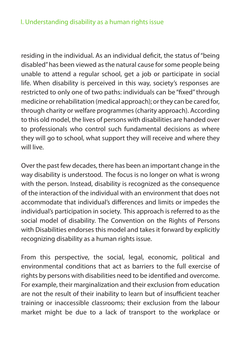### I. Understanding disability as a human rights issue

residing in the individual. As an individual deficit, the status of "being disabled" has been viewed as the natural cause for some people being unable to attend a regular school, get a job or participate in social life. When disability is perceived in this way, society's responses are restricted to only one of two paths: individuals can be "fixed" through medicine or rehabilitation (medical approach); or they can be cared for, through charity or welfare programmes (charity approach). According to this old model, the lives of persons with disabilities are handed over to professionals who control such fundamental decisions as where they will go to school, what support they will receive and where they will live.

Over the past few decades, there has been an important change in the way disability is understood. The focus is no longer on what is wrong with the person. Instead, disability is recognized as the consequence of the interaction of the individual with an environment that does not accommodate that individual's differences and limits or impedes the individual's participation in society. This approach is referred to as the social model of disability. The Convention on the Rights of Persons with Disabilities endorses this model and takes it forward by explicitly recognizing disability as a human rights issue.

From this perspective, the social, legal, economic, political and environmental conditions that act as barriers to the full exercise of rights by persons with disabilities need to be identified and overcome. For example, their marginalization and their exclusion from education are not the result of their inability to learn but of insufficient teacher training or inaccessible classrooms; their exclusion from the labour market might be due to a lack of transport to the workplace or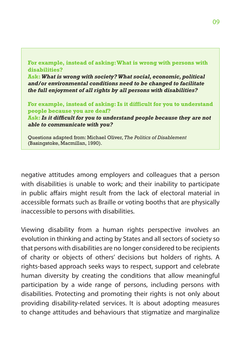**For example, instead of asking: What is wrong with persons with disabilities? Ask:** *What is wrong with society? What social, economic, political and/or environmental conditions need to be changed to facilitate the full enjoyment of all rights by all persons with disabilities?* **For example, instead of asking: Is it difficult for you to understand people because you are deaf?** 

**Ask:***Is it difficult for you to understand people because they are not able to communicate with you?*

Questions adapted from: Michael Oliver, *The Politics of Disablement* (Basingstoke, Macmillan, 1990).

negative attitudes among employers and colleagues that a person with disabilities is unable to work; and their inability to participate in public affairs might result from the lack of electoral material in accessible formats such as Braille or voting booths that are physically inaccessible to persons with disabilities.

Viewing disability from a human rights perspective involves an evolution in thinking and acting by States and all sectors of society so that persons with disabilities are no longer considered to be recipients of charity or objects of others' decisions but holders of rights. A rights-based approach seeks ways to respect, support and celebrate human diversity by creating the conditions that allow meaningful participation by a wide range of persons, including persons with disabilities. Protecting and promoting their rights is not only about providing disability-related services. It is about adopting measures to change attitudes and behaviours that stigmatize and marginalize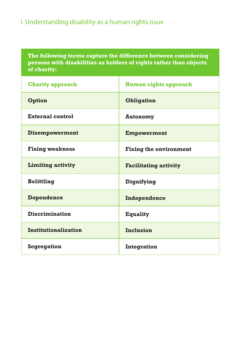### I. Understanding disability as a human rights issue

**The following terms capture the difference between considering persons with disabilities as holders of rights rather than objects of charity:** 

| <b>Charity approach</b>     | <b>Human rights approach</b>  |
|-----------------------------|-------------------------------|
| Option                      | <b>Obligation</b>             |
| External control            | <b>Autonomy</b>               |
| <b>Disempowerment</b>       | <b>Empowerment</b>            |
| <b>Fixing weakness</b>      | <b>Fixing the environment</b> |
| <b>Limiting activity</b>    | <b>Facilitating activity</b>  |
| <b>Belittling</b>           | Dignifying                    |
| Dependence                  | Independence                  |
| <b>Discrimination</b>       | <b>Equality</b>               |
| <b>Institutionalization</b> | <b>Inclusion</b>              |
| <b>Segregation</b>          | Integration                   |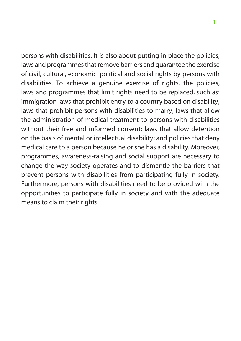persons with disabilities. It is also about putting in place the policies, laws and programmes that remove barriers and guarantee the exercise of civil, cultural, economic, political and social rights by persons with disabilities. To achieve a genuine exercise of rights, the policies, laws and programmes that limit rights need to be replaced, such as: immigration laws that prohibit entry to a country based on disability; laws that prohibit persons with disabilities to marry; laws that allow the administration of medical treatment to persons with disabilities without their free and informed consent; laws that allow detention on the basis of mental or intellectual disability; and policies that deny medical care to a person because he or she has a disability. Moreover, programmes, awareness-raising and social support are necessary to change the way society operates and to dismantle the barriers that prevent persons with disabilities from participating fully in society. Furthermore, persons with disabilities need to be provided with the opportunities to participate fully in society and with the adequate means to claim their rights.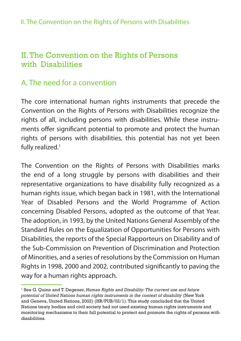## <span id="page-11-0"></span>II. The Convention on the Rights of Persons with Disabilities

## A. The need for a convention

The core international human rights instruments that precede the Convention on the Rights of Persons with Disabilities recognize the rights of all, including persons with disabilities. While these instruments offer significant potential to promote and protect the human rights of persons with disabilities, this potential has not yet been fully realized.<sup>1</sup>

The Convention on the Rights of Persons with Disabilities marks the end of a long struggle by persons with disabilities and their representative organizations to have disability fully recognized as a human rights issue, which began back in 1981, with the International Year of Disabled Persons and the World Programme of Action concerning Disabled Persons, adopted as the outcome of that Year. The adoption, in 1993, by the United Nations General Assembly of the Standard Rules on the Equalization of Opportunities for Persons with Disabilities, the reports of the Special Rapporteurs on Disability and of the Sub-Commission on Prevention of Discrimination and Protection of Minorities, and a series of resolutions by the Commission on Human Rights in 1998, 2000 and 2002, contributed significantly to paving the way for a human rights approach.

<sup>1</sup> See G. Quinn and T. Degener, *Human Rights and Disability: The current use and future potential of United Nations human rights instruments in the context of disability* (New York and Geneva, United Nations, 2002) (HR/PUB/02/1). This study concluded that the United Nations treaty bodies and civil society had not used existing human rights instruments and monitoring mechanisms to their full potential to protect and promote the rights of persons with disabilities.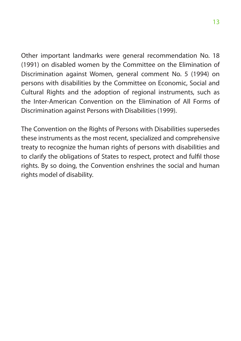Other important landmarks were general recommendation No. 18 (1991) on disabled women by the Committee on the Elimination of Discrimination against Women, general comment No. 5 (1994) on persons with disabilities by the Committee on Economic, Social and Cultural Rights and the adoption of regional instruments, such as the Inter-American Convention on the Elimination of All Forms of Discrimination against Persons with Disabilities (1999).

The Convention on the Rights of Persons with Disabilities supersedes these instruments as the most recent, specialized and comprehensive treaty to recognize the human rights of persons with disabilities and to clarify the obligations of States to respect, protect and fulfil those rights. By so doing, the Convention enshrines the social and human rights model of disability.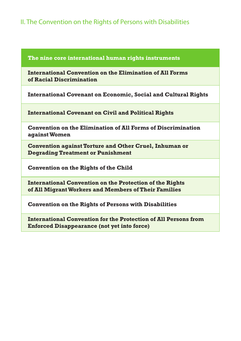### II. The Convention on the Rights of Persons with Disabilities

#### **The nine core international human rights instruments**

**International Convention on the Elimination of All Forms of Racial Discrimination**

**International Covenant on Economic, Social and Cultural Rights**

**International Covenant on Civil and Political Rights**

**Convention on the Elimination of All Forms of Discrimination against Women**

**Convention against Torture and Other Cruel, Inhuman or Degrading Treatment or Punishment**

**Convention on the Rights of the Child**

**International Convention on the Protection of the Rights of All Migrant Workers and Members of Their Families**

**Convention on the Rights of Persons with Disabilities**

**International Convention for the Protection of All Persons from Enforced Disappearance (not yet into force)**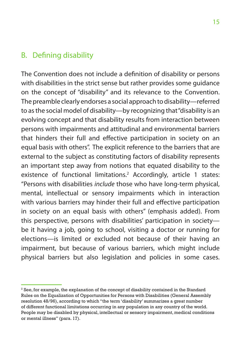### <span id="page-14-0"></span>B. Defining disability

The Convention does not include a definition of disability or persons with disabilities in the strict sense but rather provides some guidance on the concept of "disability" and its relevance to the Convention. The preamble clearly endorses a social approach to disability—referred to as the social model of disability—by recognizing that "disability is an evolving concept and that disability results from interaction between persons with impairments and attitudinal and environmental barriers that hinders their full and effective participation in society on an equal basis with others". The explicit reference to the barriers that are external to the subject as constituting factors of disability represents an important step away from notions that equated disability to the existence of functional limitations.<sup>2</sup> Accordingly, article 1 states: "Persons with disabilities *include* those who have long-term physical, mental, intellectual or sensory impairments which in interaction with various barriers may hinder their full and effective participation in society on an equal basis with others" (emphasis added). From this perspective, persons with disabilities' participation in society be it having a job, going to school, visiting a doctor or running for elections—is limited or excluded not because of their having an impairment, but because of various barriers, which might include physical barriers but also legislation and policies in some cases.

 $^{\rm 2}$  See, for example, the explanation of the concept of disability contained in the Standard Rules on the Equalization of Opportunities for Persons with Disabilities (General Assembly resolution 48/96), according to which "the term 'disability' summarizes a great number of different functional limitations occurring in any population in any country of the world. People may be disabled by physical, intellectual or sensory impairment, medical conditions or mental illness" (para. 17).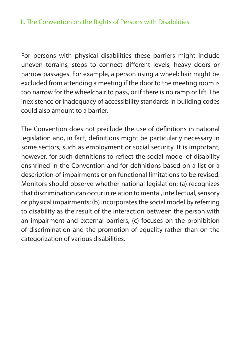For persons with physical disabilities these barriers might include uneven terrains, steps to connect different levels, heavy doors or narrow passages. For example, a person using a wheelchair might be excluded from attending a meeting if the door to the meeting room is too narrow for the wheelchair to pass, or if there is no ramp or lift. The inexistence or inadequacy of accessibility standards in building codes could also amount to a barrier.

The Convention does not preclude the use of definitions in national legislation and, in fact, definitions might be particularly necessary in some sectors, such as employment or social security. It is important, however, for such definitions to reflect the social model of disability enshrined in the Convention and for definitions based on a list or a description of impairments or on functional limitations to be revised. Monitors should observe whether national legislation: (a) recognizes that discrimination can occur in relation to mental, intellectual, sensory or physical impairments; (b) incorporates the social model by referring to disability as the result of the interaction between the person with an impairment and external barriers; (c) focuses on the prohibition of discrimination and the promotion of equality rather than on the categorization of various disabilities.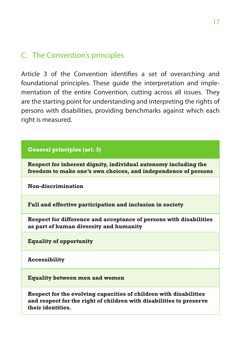## <span id="page-16-0"></span>C. The Convention's principles

Article 3 of the Convention identifies a set of overarching and foundational principles. These guide the interpretation and implementation of the entire Convention, cutting across all issues. They are the starting point for understanding and interpreting the rights of persons with disabilities, providing benchmarks against which each right is measured.

### **General principles (art. 3)**

**Respect for inherent dignity, individual autonomy including the freedom to make one's own choices, and independence of persons**

**Non-discrimination**

**Full and effective participation and inclusion in society**

**Respect for difference and acceptance of persons with disabilities as part of human diversity and humanity**

**Equality of opportunity**

**Accessibility**

**Equality between men and women**

**Respect for the evolving capacities of children with disabilities and respect for the right of children with disabilities to preserve their identities.**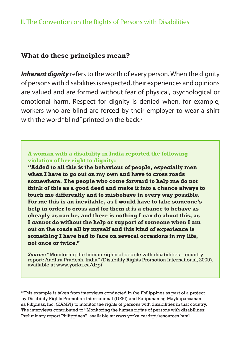### II. The Convention on the Rights of Persons with Disabilities

### **What do these principles mean?**

*Inherent dignity* refers to the worth of every person. When the dignity of persons with disabilities is respected, their experiences and opinions are valued and are formed without fear of physical, psychological or emotional harm. Respect for dignity is denied when, for example, workers who are blind are forced by their employer to wear a shirt with the word "blind" printed on the back.<sup>3</sup>

### **A woman with a disability in India reported the following violation of her right to dignity:**

**"Added to all this is the behaviour of people, especially men when I have to go out on my own and have to cross roads somewhere. The people who come forward to help me do not think of this as a good deed and make it into a chance always to touch me differently and to misbehave in every way possible. For me this is an inevitable, as I would have to take someone's help in order to cross and for them it is a chance to behave as cheaply as can be, and there is nothing I can do about this, as I cannot do without the help or support of someone when I am out on the roads all by myself and this kind of experience is something I have had to face on several occasions in my life, not once or twice."**

*Source:* "Monitoring the human rights of people with disabilities—country report: Andhra Pradesh, India" (Disability Rights Promotion International, 2009), available at<www.yorku.ca/drpi>

 $^3$ This example is taken from interviews conducted in the Philippines as part of a project by Disability Rights Promotion International (DRPI) and Katipunan ng Maykapansanan sa Pilipinas, Inc. (KAMPI) to monitor the rights of persons with disabilities in that country. The interviews contributed to "Monitoring the human rights of persons with disabilities: Preliminary report Philippines", available at: <www.yorku.ca/drpi/resources.html>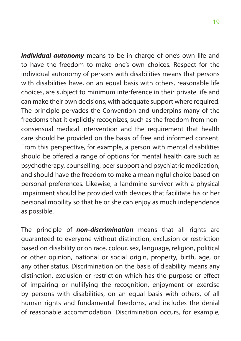*Individual autonomy* means to be in charge of one's own life and to have the freedom to make one's own choices. Respect for the individual autonomy of persons with disabilities means that persons with disabilities have, on an equal basis with others, reasonable life choices, are subject to minimum interference in their private life and can make their own decisions, with adequate support where required. The principle pervades the Convention and underpins many of the freedoms that it explicitly recognizes, such as the freedom from nonconsensual medical intervention and the requirement that health care should be provided on the basis of free and informed consent. From this perspective, for example, a person with mental disabilities should be offered a range of options for mental health care such as psychotherapy, counselling, peer support and psychiatric medication, and should have the freedom to make a meaningful choice based on personal preferences. Likewise, a landmine survivor with a physical impairment should be provided with devices that facilitate his or her personal mobility so that he or she can enjoy as much independence as possible.

The principle of *non-discrimination* means that all rights are guaranteed to everyone without distinction, exclusion or restriction based on disability or on race, colour, sex, language, religion, political or other opinion, national or social origin, property, birth, age, or any other status. Discrimination on the basis of disability means any distinction, exclusion or restriction which has the purpose or effect of impairing or nullifying the recognition, enjoyment or exercise by persons with disabilities, on an equal basis with others, of all human rights and fundamental freedoms, and includes the denial of reasonable accommodation. Discrimination occurs, for example,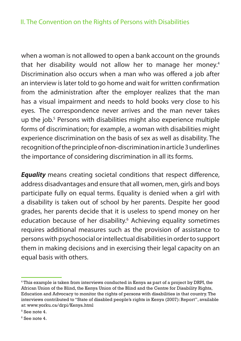### II. The Convention on the Rights of Persons with Disabilities

when a woman is not allowed to open a bank account on the grounds that her disability would not allow her to manage her money.<sup>4</sup> Discrimination also occurs when a man who was offered a job after an interview is later told to go home and wait for written confirmation from the administration after the employer realizes that the man has a visual impairment and needs to hold books very close to his eyes. The correspondence never arrives and the man never takes up the job.5 Persons with disabilities might also experience multiple forms of discrimination; for example, a woman with disabilities might experience discrimination on the basis of sex as well as disability. The recognition of the principle of non-discrimination in article 3 underlines the importance of considering discrimination in all its forms.

*Equality* means creating societal conditions that respect difference, address disadvantages and ensure that all women, men, girls and boys participate fully on equal terms. Equality is denied when a girl with a disability is taken out of school by her parents. Despite her good grades, her parents decide that it is useless to spend money on her education because of her disability.<sup>6</sup> Achieving equality sometimes requires additional measures such as the provision of assistance to persons with psychosocial or intellectual disabilities in order to support them in making decisions and in exercising their legal capacity on an equal basis with others.

<sup>4</sup> This example is taken from interviews conducted in Kenya as part of a project by DRPI, the African Union of the Blind, the Kenya Union of the Blind and the Centre for Disability Rights, Education and Advocacy to monitor the rights of persons with disabilities in that country. The interviews contributed to "State of disabled people's rights in Kenya (2007): Report", available at:<www.yorku.ca/drpi/Kenya.html>

<sup>5</sup> See note 4.

<sup>6</sup> See note 4.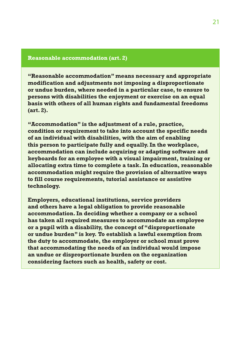#### **Reasonable accommodation (art. 2)**

**"Reasonable accommodation" means necessary and appropriate modification and adjustments not imposing a disproportionate or undue burden, where needed in a particular case, to ensure to persons with disabilities the enjoyment or exercise on an equal basis with others of all human rights and fundamental freedoms (art. 2).**

**"Accommodation" is the adjustment of a rule, practice, condition or requirement to take into account the specific needs of an individual with disabilities, with the aim of enabling this person to participate fully and equally. In the workplace, accommodation can include acquiring or adapting software and keyboards for an employee with a visual impairment, training or allocating extra time to complete a task. In education, reasonable accommodation might require the provision of alternative ways to fill course requirements, tutorial assistance or assistive technology.** 

**Employers, educational institutions, service providers and others have a legal obligation to provide reasonable accommodation. In deciding whether a company or a school has taken all required measures to accommodate an employee or a pupil with a disability, the concept of "disproportionate or undue burden" is key. To establish a lawful exemption from the duty to accommodate, the employer or school must prove that accommodating the needs of an individual would impose an undue or disproportionate burden on the organization considering factors such as health, safety or cost.**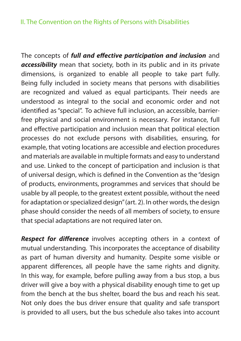### II. The Convention on the Rights of Persons with Disabilities

The concepts of *full and effective participation and inclusion* and *accessibility* mean that society, both in its public and in its private dimensions, is organized to enable all people to take part fully. Being fully included in society means that persons with disabilities are recognized and valued as equal participants. Their needs are understood as integral to the social and economic order and not identified as "special". To achieve full inclusion, an accessible, barrierfree physical and social environment is necessary. For instance, full and effective participation and inclusion mean that political election processes do not exclude persons with disabilities, ensuring, for example, that voting locations are accessible and election procedures and materials are available in multiple formats and easy to understand and use. Linked to the concept of participation and inclusion is that of universal design, which is defined in the Convention as the "design of products, environments, programmes and services that should be usable by all people, to the greatest extent possible, without the need for adaptation or specialized design" (art. 2). In other words, the design phase should consider the needs of all members of society, to ensure that special adaptations are not required later on.

*Respect for difference* involves accepting others in a context of mutual understanding. This incorporates the acceptance of disability as part of human diversity and humanity. Despite some visible or apparent differences, all people have the same rights and dignity. In this way, for example, before pulling away from a bus stop, a bus driver will give a boy with a physical disability enough time to get up from the bench at the bus shelter, board the bus and reach his seat. Not only does the bus driver ensure that quality and safe transport is provided to all users, but the bus schedule also takes into account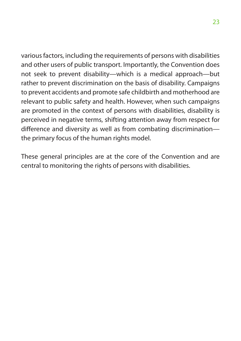various factors, including the requirements of persons with disabilities and other users of public transport. Importantly, the Convention does not seek to prevent disability—which is a medical approach—but rather to prevent discrimination on the basis of disability. Campaigns to prevent accidents and promote safe childbirth and motherhood are relevant to public safety and health. However, when such campaigns are promoted in the context of persons with disabilities, disability is perceived in negative terms, shifting attention away from respect for difference and diversity as well as from combating discrimination the primary focus of the human rights model.

These general principles are at the core of the Convention and are central to monitoring the rights of persons with disabilities.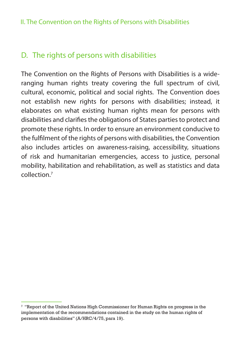## <span id="page-23-0"></span>D. The rights of persons with disabilities

The Convention on the Rights of Persons with Disabilities is a wideranging human rights treaty covering the full spectrum of civil, cultural, economic, political and social rights. The Convention does not establish new rights for persons with disabilities; instead, it elaborates on what existing human rights mean for persons with disabilities and clarifies the obligations of States parties to protect and promote these rights. In order to ensure an environment conducive to the fulfilment of the rights of persons with disabilities, the Convention also includes articles on awareness-raising, accessibility, situations of risk and humanitarian emergencies, access to justice, personal mobility, habilitation and rehabilitation, as well as statistics and data collection<sup>7</sup>

 $^{\rm 7}$  "Report of the United Nations High Commissioner for Human Rights on progress in the implementation of the recommendations contained in the study on the human rights of persons with disabilities" (A/HRC/4/75, para 19).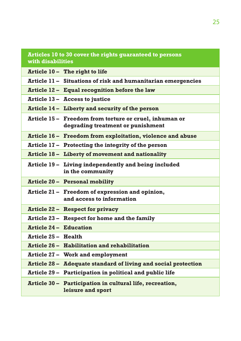| Articles 10 to 30 cover the rights guaranteed to persons<br>with disabilities |                                                                                             |  |  |  |
|-------------------------------------------------------------------------------|---------------------------------------------------------------------------------------------|--|--|--|
|                                                                               | Article 10 - The right to life                                                              |  |  |  |
|                                                                               | Article 11 - Situations of risk and humanitarian emergencies                                |  |  |  |
|                                                                               | Article 12 - Equal recognition before the law                                               |  |  |  |
|                                                                               | Article 13 - Access to justice                                                              |  |  |  |
|                                                                               | Article 14 - Liberty and security of the person                                             |  |  |  |
|                                                                               | Article 15 – Freedom from torture or cruel, inhuman or<br>degrading treatment or punishment |  |  |  |
|                                                                               | Article 16 - Freedom from exploitation, violence and abuse                                  |  |  |  |
|                                                                               | Article 17 - Protecting the integrity of the person                                         |  |  |  |
|                                                                               | Article 18 - Liberty of movement and nationality                                            |  |  |  |
|                                                                               | Article 19 - Living independently and being included<br>in the community                    |  |  |  |
|                                                                               | Article 20 - Personal mobility                                                              |  |  |  |
|                                                                               | Article 21 – Freedom of expression and opinion,<br>and access to information                |  |  |  |
|                                                                               | Article 22 - Respect for privacy                                                            |  |  |  |
|                                                                               | Article 23 - Respect for home and the family                                                |  |  |  |
| <b>Article 24 - Education</b>                                                 |                                                                                             |  |  |  |
| <b>Article 25 - Health</b>                                                    |                                                                                             |  |  |  |
|                                                                               | Article 26 - Habilitation and rehabilitation                                                |  |  |  |
|                                                                               | Article 27 - Work and employment                                                            |  |  |  |
|                                                                               | Article 28 - Adequate standard of living and social protection                              |  |  |  |
|                                                                               | Article 29 - Participation in political and public life                                     |  |  |  |
|                                                                               | Article 30 - Participation in cultural life, recreation,<br>leisure and sport               |  |  |  |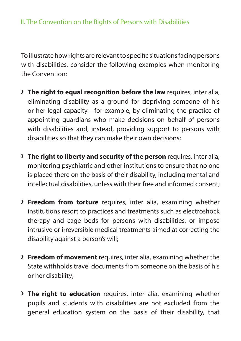To illustrate how rights are relevant to specific situations facing persons with disabilities, consider the following examples when monitoring the Convention:

- **› The right to equal recognition before the law** requires, inter alia, eliminating disability as a ground for depriving someone of his or her legal capacity—for example, by eliminating the practice of appointing guardians who make decisions on behalf of persons with disabilities and, instead, providing support to persons with disabilities so that they can make their own decisions;
- **› The right to liberty and security of the person** requires, inter alia, monitoring psychiatric and other institutions to ensure that no one is placed there on the basis of their disability, including mental and intellectual disabilities, unless with their free and informed consent;
- **› Freedom from torture** requires, inter alia, examining whether institutions resort to practices and treatments such as electroshock therapy and cage beds for persons with disabilities, or impose intrusive or irreversible medical treatments aimed at correcting the disability against a person's will;
- **› Freedom of movement** requires, inter alia, examining whether the State withholds travel documents from someone on the basis of his or her disability;
- **› The right to education** requires, inter alia, examining whether pupils and students with disabilities are not excluded from the general education system on the basis of their disability, that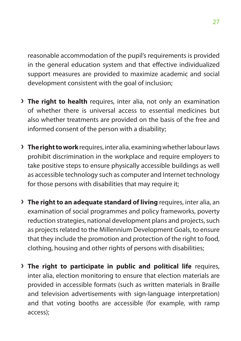reasonable accommodation of the pupil's requirements is provided in the general education system and that effective individualized support measures are provided to maximize academic and social development consistent with the goal of inclusion;

- **› The right to health** requires, inter alia, not only an examination of whether there is universal access to essential medicines but also whether treatments are provided on the basis of the free and informed consent of the person with a disability;
- **› The right to work** requires, inter alia, examining whether labour laws prohibit discrimination in the workplace and require employers to take positive steps to ensure physically accessible buildings as well as accessible technology such as computer and Internet technology for those persons with disabilities that may require it;
- **> The right to an adequate standard of living** requires, inter alia, an examination of social programmes and policy frameworks, poverty reduction strategies, national development plans and projects, such as projects related to the Millennium Development Goals, to ensure that they include the promotion and protection of the right to food, clothing, housing and other rights of persons with disabilities;
- **› The right to participate in public and political life** requires, inter alia, election monitoring to ensure that election materials are provided in accessible formats (such as written materials in Braille and television advertisements with sign-language interpretation) and that voting booths are accessible (for example, with ramp access);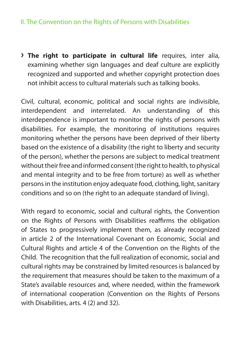### II. The Convention on the Rights of Persons with Disabilities

**› The right to participate in cultural life** requires, inter alia, examining whether sign languages and deaf culture are explicitly recognized and supported and whether copyright protection does not inhibit access to cultural materials such as talking books.

Civil, cultural, economic, political and social rights are indivisible, interdependent and interrelated. An understanding of this interdependence is important to monitor the rights of persons with disabilities. For example, the monitoring of institutions requires monitoring whether the persons have been deprived of their liberty based on the existence of a disability (the right to liberty and security of the person), whether the persons are subject to medical treatment without their free and informed consent (the right to health, to physical and mental integrity and to be free from torture) as well as whether persons in the institution enjoy adequate food, clothing, light, sanitary conditions and so on (the right to an adequate standard of living).

With regard to economic, social and cultural rights, the Convention on the Rights of Persons with Disabilities reaffirms the obligation of States to progressively implement them, as already recognized in article 2 of the International Covenant on Economic, Social and Cultural Rights and article 4 of the Convention on the Rights of the Child. The recognition that the full realization of economic, social and cultural rights may be constrained by limited resources is balanced by the requirement that measures should be taken to the maximum of a State's available resources and, where needed, within the framework of international cooperation (Convention on the Rights of Persons with Disabilities, arts. 4 (2) and 32).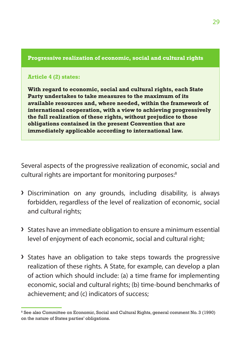### **Progressive realization of economic, social and cultural rights**

### **Article 4 (2) states:**

**With regard to economic, social and cultural rights, each State Party undertakes to take measures to the maximum of its available resources and, where needed, within the framework of international cooperation, with a view to achieving progressively the full realization of these rights, without prejudice to those obligations contained in the present Convention that are immediately applicable according to international law.**

Several aspects of the progressive realization of economic, social and cultural rights are important for monitoring purposes:<sup>8</sup>

- **›** Discrimination on any grounds, including disability, is always forbidden, regardless of the level of realization of economic, social and cultural rights;
- **›** States have an immediate obligation to ensure a minimum essential level of enjoyment of each economic, social and cultural right;
- **›** States have an obligation to take steps towards the progressive realization of these rights. A State, for example, can develop a plan of action which should include: (a) a time frame for implementing economic, social and cultural rights; (b) time-bound benchmarks of achievement; and (c) indicators of success;

<sup>8</sup> See also Committee on Economic, Social and Cultural Rights, general comment No. 3 (1990) on the nature of States parties' obligations.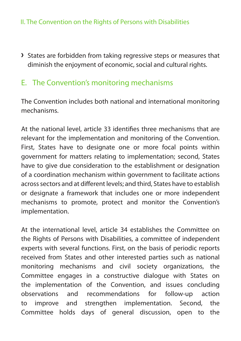<span id="page-29-0"></span>**›** States are forbidden from taking regressive steps or measures that diminish the enjoyment of economic, social and cultural rights.

## E. The Convention's monitoring mechanisms

The Convention includes both national and international monitoring mechanisms.

At the national level, article 33 identifies three mechanisms that are relevant for the implementation and monitoring of the Convention. First, States have to designate one or more focal points within government for matters relating to implementation; second, States have to give due consideration to the establishment or designation of a coordination mechanism within government to facilitate actions across sectors and at different levels; and third, States have to establish or designate a framework that includes one or more independent mechanisms to promote, protect and monitor the Convention's implementation.

At the international level, article 34 establishes the Committee on the Rights of Persons with Disabilities, a committee of independent experts with several functions. First, on the basis of periodic reports received from States and other interested parties such as national monitoring mechanisms and civil society organizations, the Committee engages in a constructive dialogue with States on the implementation of the Convention, and issues concluding observations and recommendations for follow-up action to improve and strengthen implementation. Second, the Committee holds days of general discussion, open to the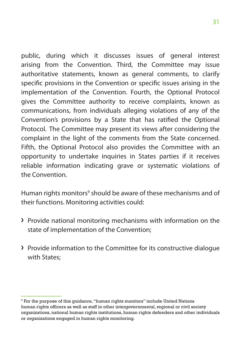public, during which it discusses issues of general interest arising from the Convention. Third, the Committee may issue authoritative statements, known as general comments, to clarify specific provisions in the Convention or specific issues arising in the implementation of the Convention. Fourth, the Optional Protocol gives the Committee authority to receive complaints, known as communications, from individuals alleging violations of any of the Convention's provisions by a State that has ratified the Optional Protocol. The Committee may present its views after considering the complaint in the light of the comments from the State concerned. Fifth, the Optional Protocol also provides the Committee with an opportunity to undertake inquiries in States parties if it receives reliable information indicating grave or systematic violations of the Convention.

Human rights monitors<sup>9</sup> should be aware of these mechanisms and of their functions. Monitoring activities could:

- **›** Provide national monitoring mechanisms with information on the state of implementation of the Convention;
- **›** Provide information to the Committee for its constructive dialogue with States;

 $9$  For the purpose of this guidance, "human rights monitors" include United Nations human rights officers as well as staff in other intergovernmental, regional or civil society organizations, national human rights institutions, human rights defenders and other individuals or organizations engaged in human rights monitoring.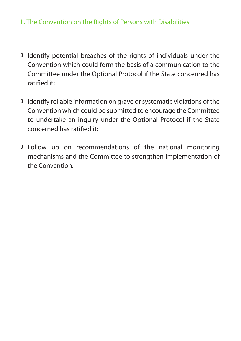### II. The Convention on the Rights of Persons with Disabilities

- **›** Identify potential breaches of the rights of individuals under the Convention which could form the basis of a communication to the Committee under the Optional Protocol if the State concerned has ratified it;
- **›** Identify reliable information on grave or systematic violations of the Convention which could be submitted to encourage the Committee to undertake an inquiry under the Optional Protocol if the State concerned has ratified it;
- **›** Follow up on recommendations of the national monitoring mechanisms and the Committee to strengthen implementation of the Convention.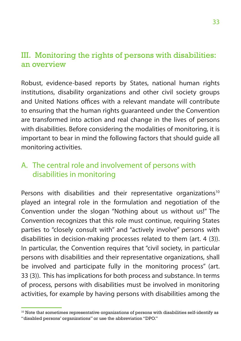## <span id="page-32-0"></span>III. Monitoring the rights of persons with disabilities: an overview

Robust, evidence-based reports by States, national human rights institutions, disability organizations and other civil society groups and United Nations offices with a relevant mandate will contribute to ensuring that the human rights guaranteed under the Convention are transformed into action and real change in the lives of persons with disabilities. Before considering the modalities of monitoring, it is important to bear in mind the following factors that should guide all monitoring activities.

## A. The central role and involvement of persons with disabilities in monitoring

Persons with disabilities and their representative organizations<sup>10</sup> played an integral role in the formulation and negotiation of the Convention under the slogan "Nothing about us without us!" The Convention recognizes that this role must continue, requiring States parties to "closely consult with" and "actively involve" persons with disabilities in decision-making processes related to them (art. 4 (3)). In particular, the Convention requires that "civil society, in particular persons with disabilities and their representative organizations, shall be involved and participate fully in the monitoring process" (art. 33 (3)). This has implications for both process and substance. In terms of process, persons with disabilities must be involved in monitoring activities, for example by having persons with disabilities among the

 $10$  Note that sometimes representative organizations of persons with disabilities self-identify as "disabled persons' organizations" or use the abbreviation "DPO."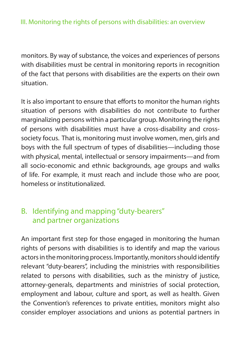<span id="page-33-0"></span>monitors. By way of substance, the voices and experiences of persons with disabilities must be central in monitoring reports in recognition of the fact that persons with disabilities are the experts on their own situation.

It is also important to ensure that efforts to monitor the human rights situation of persons with disabilities do not contribute to further marginalizing persons within a particular group. Monitoring the rights of persons with disabilities must have a cross-disability and crosssociety focus. That is, monitoring must involve women, men, girls and boys with the full spectrum of types of disabilities—including those with physical, mental, intellectual or sensory impairments—and from all socio-economic and ethnic backgrounds, age groups and walks of life. For example, it must reach and include those who are poor, homeless or institutionalized.

## B. Identifying and mapping "duty-bearers" and partner organizations

An important first step for those engaged in monitoring the human rights of persons with disabilities is to identify and map the various actors in the monitoring process. Importantly, monitors should identify relevant "duty-bearers", including the ministries with responsibilities related to persons with disabilities, such as the ministry of justice, attorney-generals, departments and ministries of social protection, employment and labour, culture and sport, as well as health. Given the Convention's references to private entities, monitors might also consider employer associations and unions as potential partners in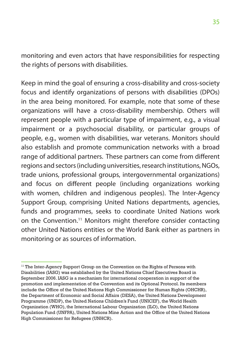monitoring and even actors that have responsibilities for respecting the rights of persons with disabilities.

Keep in mind the goal of ensuring a cross-disability and cross-society focus and identify organizations of persons with disabilities (DPOs) in the area being monitored. For example, note that some of these organizations will have a cross-disability membership. Others will represent people with a particular type of impairment, e.g., a visual impairment or a psychosocial disability, or particular groups of people, e.g., women with disabilities, war veterans. Monitors should also establish and promote communication networks with a broad range of additional partners. These partners can come from different regions and sectors (including universities, research institutions, NGOs, trade unions, professional groups, intergovernmental organizations) and focus on different people (including organizations working with women, children and indigenous peoples). The Inter-Agency Support Group, comprising United Nations departments, agencies, funds and programmes, seeks to coordinate United Nations work on the Convention.11 Monitors might therefore consider contacting other United Nations entities or the World Bank either as partners in monitoring or as sources of information.

<sup>&</sup>lt;sup>11</sup> The Inter-Agency Support Group on the Convention on the Rights of Persons with Disabilities (IASG) was established by the United Nations Chief Executives Board in September 2006. IASG is a mechanism for international cooperation in support of the promotion and implementation of the Convention and its Optional Protocol. Its members include the Office of the United Nations High Commissioner for Human Rights (OHCHR), the Department of Economic and Social Affairs (DESA), the United Nations Development Programme (UNDP), the United Nations Children's Fund (UNICEF), the World Health Organization (WHO), the International Labour Organization (ILO), the United Nations Population Fund (UNFPA), United Nations Mine Action and the Office of the United Nations High Commissioner for Refugees (UNHCR).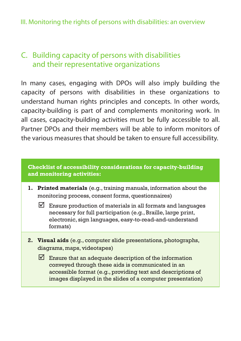### <span id="page-35-0"></span>III. Monitoring the rights of persons with disabilities: an overview

## C. Building capacity of persons with disabilities and their representative organizations

In many cases, engaging with DPOs will also imply building the capacity of persons with disabilities in these organizations to understand human rights principles and concepts. In other words, capacity-building is part of and complements monitoring work. In all cases, capacity-building activities must be fully accessible to all. Partner DPOs and their members will be able to inform monitors of the various measures that should be taken to ensure full accessibility.

### **Checklist of accessibility considerations for capacity-building and monitoring activities:**

- **1. Printed materials** (e.g., training manuals, information about the monitoring process, consent forms, questionnaires)
	- $\boxtimes$  Ensure production of materials in all formats and languages necessary for full participation (e.g., Braille, large print, electronic, sign languages, easy-to-read-and-understand formats)
- **2. Visual aids** (e.g., computer slide presentations, photographs, diagrams, maps, videotapes)
	- $\triangledown$  Ensure that an adequate description of the information conveyed through these aids is communicated in an accessible format (e.g., providing text and descriptions of images displayed in the slides of a computer presentation)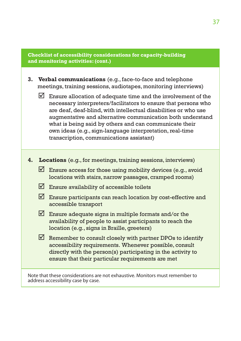#### **Checklist of accessibility considerations for capacity-building and monitoring activities: (cont.)**

- **3. Verbal communications** (e.g., face-to-face and telephone meetings, training sessions, audiotapes, monitoring interviews)
	- $\triangledown$  Ensure allocation of adequate time and the involvement of the necessary interpreters/facilitators to ensure that persons who are deaf, deaf-blind, with intellectual disabilities or who use augmentative and alternative communication both understand what is being said by others and can communicate their own ideas (e.g., sign-language interpretation, real-time transcription, communications assistant)
- **4. Locations** (e.g., for meetings, training sessions, interviews)
	- $\Box$  Ensure access for those using mobility devices (e.g., avoid locations with stairs, narrow passages, cramped rooms)
	- $\triangledown$  Ensure availability of accessible toilets
	- $\boxtimes$  Ensure participants can reach location by cost-effective and accessible transport
	- $\triangledown$  Ensure adequate signs in multiple formats and/or the availability of people to assist participants to reach the location (e.g., signs in Braille, greeters)
	- $\triangledown$  Remember to consult closely with partner DPOs to identify accessibility requirements. Whenever possible, consult directly with the person(s) participating in the activity to ensure that their particular requirements are met

Note that these considerations are not exhaustive. Monitors must remember to address accessibility case by case.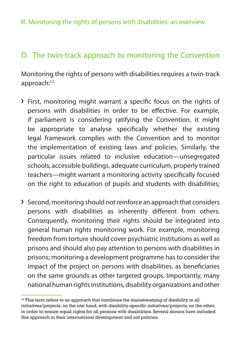<span id="page-37-0"></span>III. Monitoring the rights of persons with disabilities: an overview

## D. The twin-track approach to monitoring the Convention

Monitoring the rights of persons with disabilities requires a twin-track approach:<sup>12</sup>

- **›** First, monitoring might warrant a specific focus on the rights of persons with disabilities in order to be effective. For example, if parliament is considering ratifying the Convention, it might be appropriate to analyse specifically whether the existing legal framework complies with the Convention and to monitor the implementation of existing laws and policies. Similarly, the particular issues related to inclusive education—unsegregated schools, accessible buildings, adequate curriculum, properly trained teachers—might warrant a monitoring activity specifically focused on the right to education of pupils and students with disabilities;
- **›** Second, monitoring should not reinforce an approach that considers persons with disabilities as inherently different from others. Consequently, monitoring their rights should be integrated into general human rights monitoring work. For example, monitoring freedom from torture should cover psychiatric institutions as well as prisons and should also pay attention to persons with disabilities in prisons; monitoring a development programme has to consider the impact of the project on persons with disabilities, as beneficiaries on the same grounds as other targeted groups. Importantly, many national human rights institutions, disability organizations and other

 $12$ <sup>12</sup> This term refers to an approach that combines the mainstreaming of disability in all initiatives/projects, on the one hand, with disability-specific initiatives/projects, on the other, in order to ensure equal rights for all persons with disabilities. Several donors have included this approach in their international development and aid policies.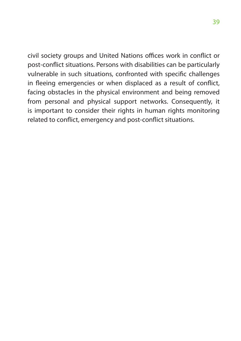civil society groups and United Nations offices work in conflict or post-conflict situations. Persons with disabilities can be particularly vulnerable in such situations, confronted with specific challenges in fleeing emergencies or when displaced as a result of conflict, facing obstacles in the physical environment and being removed from personal and physical support networks. Consequently, it is important to consider their rights in human rights monitoring related to conflict, emergency and post-conflict situations.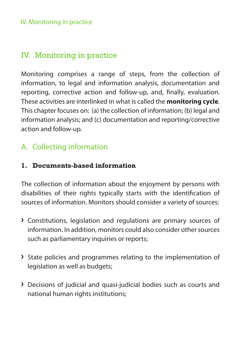### <span id="page-39-0"></span>IV. Monitoring in practice

## Iv. Monitoring in practice

Monitoring comprises a range of steps, from the collection of information, to legal and information analysis, documentation and reporting, corrective action and follow-up, and, finally, evaluation. These activities are interlinked in what is called the **monitoring cycle**. This chapter focuses on: (a) the collection of information; (b) legal and information analysis; and (c) documentation and reporting/corrective action and follow-up.

## A. Collecting information

### **1. Documents-based information**

The collection of information about the enjoyment by persons with disabilities of their rights typically starts with the identification of sources of information. Monitors should consider a variety of sources:

- **›** Constitutions, legislation and regulations are primary sources of information. In addition, monitors could also consider other sources such as parliamentary inquiries or reports;
- **›** State policies and programmes relating to the implementation of legislation as well as budgets;
- **›** Decisions of judicial and quasi-judicial bodies such as courts and national human rights institutions;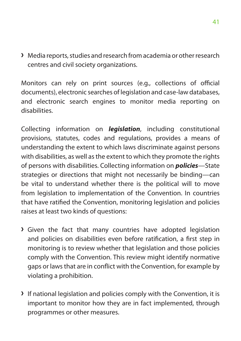**›** Media reports, studies and research from academia or other research centres and civil society organizations.

Monitors can rely on print sources (e.g., collections of official documents), electronic searches of legislation and case-law databases, and electronic search engines to monitor media reporting on disabilities.

Collecting information on *legislation*, including constitutional provisions, statutes, codes and regulations, provides a means of understanding the extent to which laws discriminate against persons with disabilities, as well as the extent to which they promote the rights of persons with disabilities. Collecting information on *policies*—State strategies or directions that might not necessarily be binding—can be vital to understand whether there is the political will to move from legislation to implementation of the Convention. In countries that have ratified the Convention, monitoring legislation and policies raises at least two kinds of questions:

- **›** Given the fact that many countries have adopted legislation and policies on disabilities even before ratification, a first step in monitoring is to review whether that legislation and those policies comply with the Convention. This review might identify normative gaps or laws that are in conflict with the Convention, for example by violating a prohibition.
- **›** If national legislation and policies comply with the Convention, it is important to monitor how they are in fact implemented, through programmes or other measures.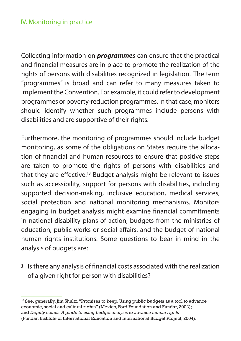### IV. Monitoring in practice

Collecting information on *programmes* can ensure that the practical and financial measures are in place to promote the realization of the rights of persons with disabilities recognized in legislation. The term "programmes" is broad and can refer to many measures taken to implement the Convention. For example, it could refer to development programmes or poverty-reduction programmes. In that case, monitors should identify whether such programmes include persons with disabilities and are supportive of their rights.

Furthermore, the monitoring of programmes should include budget monitoring, as some of the obligations on States require the allocation of financial and human resources to ensure that positive steps are taken to promote the rights of persons with disabilities and that they are effective.<sup>13</sup> Budget analysis might be relevant to issues such as accessibility, support for persons with disabilities, including supported decision-making, inclusive education, medical services, social protection and national monitoring mechanisms. Monitors engaging in budget analysis might examine financial commitments in national disability plans of action, budgets from the ministries of education, public works or social affairs, and the budget of national human rights institutions. Some questions to bear in mind in the analysis of budgets are:

**›** Is there any analysis of financial costs associated with the realization of a given right for person with disabilities?

<sup>&</sup>lt;sup>13</sup> See, generally, Jim Shultz, "Promises to keep. Using public budgets as a tool to advance economic, social and cultural rights" (Mexico, Ford Foundation and Fundar, 2002); and *Dignity counts. A guide to using budget analysis to advance human rights* (Fundar, Institute of International Education and International Budget Project, 2004).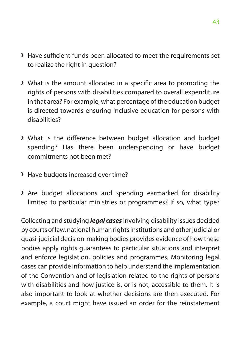- **›** Have sufficient funds been allocated to meet the requirements set to realize the right in question?
- **›** What is the amount allocated in a specific area to promoting the rights of persons with disabilities compared to overall expenditure in that area? For example, what percentage of the education budget is directed towards ensuring inclusive education for persons with disabilities?
- **›** What is the difference between budget allocation and budget spending? Has there been underspending or have budget commitments not been met?
- **›** Have budgets increased over time?
- **›** Are budget allocations and spending earmarked for disability limited to particular ministries or programmes? If so, what type?

Collecting and studying *legal cases* involving disability issues decided by courts of law, national human rights institutions and other judicial or quasi-judicial decision-making bodies provides evidence of how these bodies apply rights guarantees to particular situations and interpret and enforce legislation, policies and programmes. Monitoring legal cases can provide information to help understand the implementation of the Convention and of legislation related to the rights of persons with disabilities and how justice is, or is not, accessible to them. It is also important to look at whether decisions are then executed. For example, a court might have issued an order for the reinstatement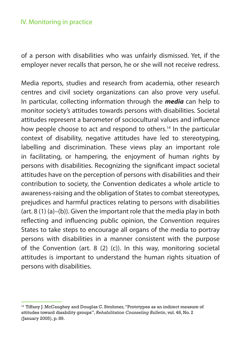### IV. Monitoring in practice

of a person with disabilities who was unfairly dismissed. Yet, if the employer never recalls that person, he or she will not receive redress.

Media reports, studies and research from academia, other research centres and civil society organizations can also prove very useful. In particular, collecting information through the *media* can help to monitor society's attitudes towards persons with disabilities. Societal attitudes represent a barometer of sociocultural values and influence how people choose to act and respond to others.<sup>14</sup> In the particular context of disability, negative attitudes have led to stereotyping, labelling and discrimination. These views play an important role in facilitating, or hampering, the enjoyment of human rights by persons with disabilities. Recognizing the significant impact societal attitudes have on the perception of persons with disabilities and their contribution to society, the Convention dedicates a whole article to awareness-raising and the obligation of States to combat stereotypes, prejudices and harmful practices relating to persons with disabilities (art. 8 (1) (a)–(b)). Given the important role that the media play in both reflecting and influencing public opinion, the Convention requires States to take steps to encourage all organs of the media to portray persons with disabilities in a manner consistent with the purpose of the Convention (art. 8 (2) (c)). In this way, monitoring societal attitudes is important to understand the human rights situation of persons with disabilities.

<sup>&</sup>lt;sup>14</sup> Tiffany J. McCaughey and Douglas C. Strohmer, "Prototypes as an indirect measure of attitudes toward disability groups", *Rehabilitation Counseling Bulletin*, vol. 48, No. 2 (January 2005), p. 89.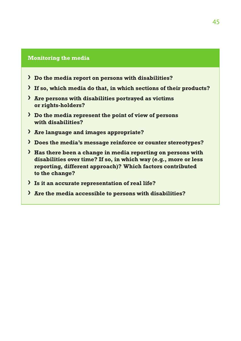#### **Monitoring the media**

- **› Do the media report on persons with disabilities?**
- **› If so, which media do that, in which sections of their products?**
- **› Are persons with disabilities portrayed as victims or rights-holders?**
- **› Do the media represent the point of view of persons with disabilities?**
- **› Are language and images appropriate?**
- **› Does the media's message reinforce or counter stereotypes?**
- **› Has there been a change in media reporting on persons with disabilities over time? If so, in which way (e.g., more or less reporting, different approach)? Which factors contributed to the change?**
- **› Is it an accurate representation of real life?**
- **› Are the media accessible to persons with disabilities?**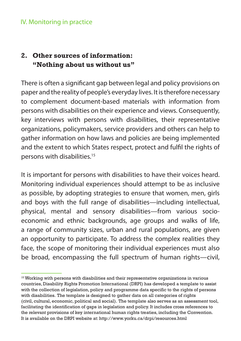### IV. Monitoring in practice

### **2. Other sources of information: "Nothing about us without us"**

There is often a significant gap between legal and policy provisions on paper and the reality of people's everyday lives. It is therefore necessary to complement document-based materials with information from persons with disabilities on their experience and views. Consequently, key interviews with persons with disabilities, their representative organizations, policymakers, service providers and others can help to gather information on how laws and policies are being implemented and the extent to which States respect, protect and fulfil the rights of persons with disabilities.15

It is important for persons with disabilities to have their voices heard. Monitoring individual experiences should attempt to be as inclusive as possible, by adopting strategies to ensure that women, men, girls and boys with the full range of disabilities—including intellectual, physical, mental and sensory disabilities—from various socioeconomic and ethnic backgrounds, age groups and walks of life, a range of community sizes, urban and rural populations, are given an opportunity to participate. To address the complex realities they face, the scope of monitoring their individual experiences must also be broad, encompassing the full spectrum of human rights—civil,

<sup>&</sup>lt;sup>15</sup> Working with persons with disabilities and their representative organizations in various countries, Disability Rights Promotion International (DRPI) has developed a template to assist with the collection of legislation, policy and programme data specific to the rights of persons with disabilities. The template is designed to gather data on all categories of rights (civil, cultural, economic, political and social). The template also serves as an assessment tool, facilitating the identification of gaps in legislation and policy. It includes cross references to the relevant provisions of key international human rights treaties, including the Convention. It is available on the DRPI website at: <http://www.yorku.ca/drpi/resources.html>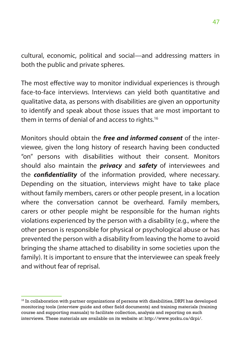cultural, economic, political and social—and addressing matters in both the public and private spheres.

The most effective way to monitor individual experiences is through face-to-face interviews. Interviews can yield both quantitative and qualitative data, as persons with disabilities are given an opportunity to identify and speak about those issues that are most important to them in terms of denial of and access to rights.<sup>16</sup>

Monitors should obtain the *free and informed consent* of the interviewee, given the long history of research having been conducted "on" persons with disabilities without their consent. Monitors should also maintain the *privacy* and *safety* of interviewees and the *confidentiality* of the information provided, where necessary. Depending on the situation, interviews might have to take place without family members, carers or other people present, in a location where the conversation cannot be overheard. Family members, carers or other people might be responsible for the human rights violations experienced by the person with a disability (e.g., where the other person is responsible for physical or psychological abuse or has prevented the person with a disability from leaving the home to avoid bringing the shame attached to disability in some societies upon the family). It is important to ensure that the interviewee can speak freely and without fear of reprisal.

<sup>&</sup>lt;sup>16</sup> In collaboration with partner organizations of persons with disabilities, DRPI has developed monitoring tools (interview guide and other field documents) and training materials (training course and supporting manuals) to facilitate collection, analysis and reporting on such interviews. These materials are available on its website at: <http://www.yorku.ca/drpi/>.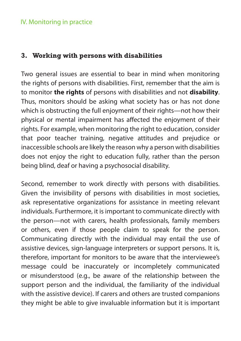### IV. Monitoring in practice

### **3. Working with persons with disabilities**

Two general issues are essential to bear in mind when monitoring the rights of persons with disabilities. First, remember that the aim is to monitor **the rights** of persons with disabilities and not **disability**. Thus, monitors should be asking what society has or has not done which is obstructing the full enjoyment of their rights—not how their physical or mental impairment has affected the enjoyment of their rights. For example, when monitoring the right to education, consider that poor teacher training, negative attitudes and prejudice or inaccessible schools are likely the reason why a person with disabilities does not enjoy the right to education fully, rather than the person being blind, deaf or having a psychosocial disability.

Second, remember to work directly with persons with disabilities. Given the invisibility of persons with disabilities in most societies, ask representative organizations for assistance in meeting relevant individuals. Furthermore, it is important to communicate directly with the person—not with carers, health professionals, family members or others, even if those people claim to speak for the person. Communicating directly with the individual may entail the use of assistive devices, sign-language interpreters or support persons. It is, therefore, important for monitors to be aware that the interviewee's message could be inaccurately or incompletely communicated or misunderstood (e.g., be aware of the relationship between the support person and the individual, the familiarity of the individual with the assistive device). If carers and others are trusted companions they might be able to give invaluable information but it is important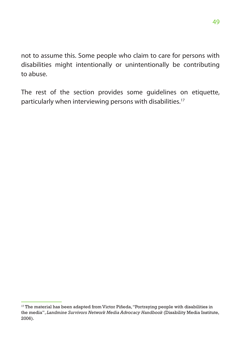not to assume this. Some people who claim to care for persons with disabilities might intentionally or unintentionally be contributing to abuse.

The rest of the section provides some guidelines on etiquette, particularly when interviewing persons with disabilities.17

 $17$  The material has been adapted from Victor Piñeda, "Portraying people with disabilities in the media", *Landmine Survivors Network Media Advocacy Handbook* (Disability Media Institute, 2006).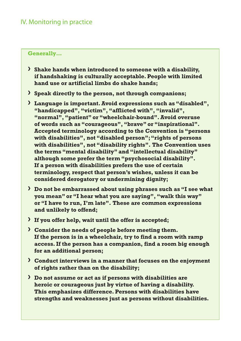### IV. Monitoring in practice

#### **Generally…**

- **› Shake hands when introduced to someone with a disability, if handshaking is culturally acceptable. People with limited hand use or artificial limbs do shake hands;**
- **› Speak directly to the person, not through companions;**
- **› Language is important. Avoid expressions such as "disabled", "handicapped", "victim", "afflicted with", "invalid", "normal", "patient" or "wheelchair-bound". Avoid overuse of words such as "courageous", "brave" or "inspirational". Accepted terminology according to the Convention is "persons with disabilities", not "disabled person"; "rights of persons with disabilities", not "disability rights". The Convention uses the terms "mental disability" and "intellectual disability" although some prefer the term "psychosocial disability". If a person with disabilities prefers the use of certain terminology, respect that person's wishes, unless it can be considered derogatory or undermining dignity;**
- **› Do not be embarrassed about using phrases such as "I see what you mean" or "I hear what you are saying", "walk this way" or "I have to run, I'm late". These are common expressions and unlikely to offend;**
- **› If you offer help, wait until the offer is accepted;**
- **› Consider the needs of people before meeting them. If the person is in a wheelchair, try to find a room with ramp access. If the person has a companion, find a room big enough for an additional person;**
- **› Conduct interviews in a manner that focuses on the enjoyment of rights rather than on the disability;**
- **› Do not assume or act as if persons with disabilities are heroic or courageous just by virtue of having a disability. This emphasizes difference. Persons with disabilities have strengths and weaknesses just as persons without disabilities.**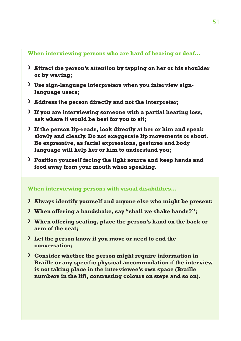### **When interviewing persons who are hard of hearing or deaf…**

- **› Attract the person's attention by tapping on her or his shoulder or by waving;**
- **› Use sign-language interpreters when you interview signlanguage users;**
- **› Address the person directly and not the interpreter;**
- **› If you are interviewing someone with a partial hearing loss, ask where it would be best for you to sit;**
- **› If the person lip-reads, look directly at her or him and speak slowly and clearly. Do not exaggerate lip movements or shout. Be expressive, as facial expressions, gestures and body language will help her or him to understand you;**
- **› Position yourself facing the light source and keep hands and food away from your mouth when speaking.**

### **When interviewing persons with visual disabilities…**

- **› Always identify yourself and anyone else who might be present;**
- **› When offering a handshake, say "shall we shake hands?";**
- **› When offering seating, place the person's hand on the back or arm of the seat;**
- **› Let the person know if you move or need to end the conversation;**
- **› Consider whether the person might require information in Braille or any specific physical accommodation if the interview is not taking place in the interviewee's own space (Braille numbers in the lift, contrasting colours on steps and so on).**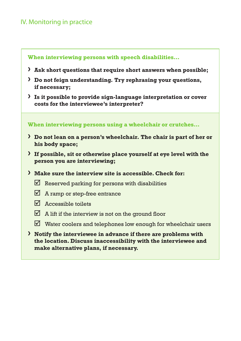### IV. Monitoring in practice

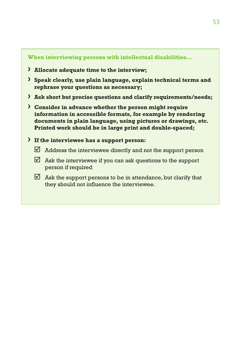#### **When interviewing persons with intellectual disabilities…**

- **› Allocate adequate time to the interview;**
- **› Speak clearly, use plain language, explain technical terms and rephrase your questions as necessary;**
- **› Ask short but precise questions and clarify requirements/needs;**
- **› Consider in advance whether the person might require information in accessible formats, for example by rendering documents in plain language, using pictures or drawings, etc. Printed work should be in large print and double-spaced;**
- **› If the interviewee has a support person:** 
	- $\boxtimes$  Address the interviewee directly and not the support person
	- $\triangledown$  Ask the interviewee if you can ask questions to the support person if required
	- $\boxtimes$  Ask the support persons to be in attendance, but clarify that they should not influence the interviewee.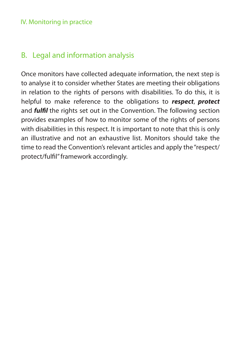### <span id="page-53-0"></span>IV. Monitoring in practice

## B. Legal and information analysis

Once monitors have collected adequate information, the next step is to analyse it to consider whether States are meeting their obligations in relation to the rights of persons with disabilities. To do this, it is helpful to make reference to the obligations to *respect*, *protect* and *fulfil* the rights set out in the Convention. The following section provides examples of how to monitor some of the rights of persons with disabilities in this respect. It is important to note that this is only an illustrative and not an exhaustive list. Monitors should take the time to read the Convention's relevant articles and apply the "respect/ protect/fulfil" framework accordingly.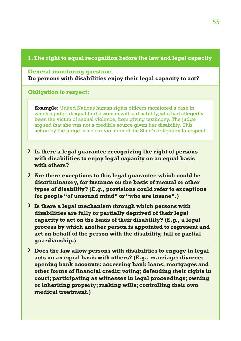### **1. The right to equal recognition before the law and legal capacity**

#### **General monitoring question:**

**Do persons with disabilities enjoy their legal capacity to act?**

**Obligation to respect:**

**Example:** United Nations human rights officers monitored a case in which a judge disqualified a woman with a disability, who had allegedly been the victim of sexual violence, from giving testimony. The judge argued that she was not a credible source given her disability. This action by the judge is a clear violation of the State's obligation to respect.

- **› Is there a legal guarantee recognizing the right of persons with disabilities to enjoy legal capacity on an equal basis with others?**
- **› Are there exceptions to this legal guarantee which could be discriminatory, for instance on the basis of mental or other types of disability? (E.g., provisions could refer to exceptions for people "of unsound mind" or "who are insane".)**
- **› Is there a legal mechanism through which persons with disabilities are fully or partially deprived of their legal capacity to act on the basis of their disability? (E.g., a legal process by which another person is appointed to represent and act on behalf of the person with the disability, full or partial guardianship.)**
- **› Does the law allow persons with disabilities to engage in legal acts on an equal basis with others? (E.g., marriage; divorce; opening bank accounts; accessing bank loans, mortgages and other forms of financial credit; voting; defending their rights in court; participating as witnesses in legal proceedings; owning or inheriting property; making wills; controlling their own medical treatment.)**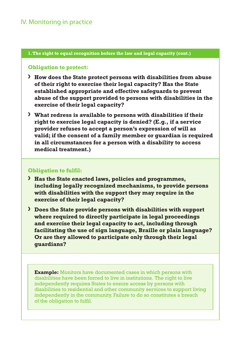### IV. Monitoring in practice

#### **1. The right to equal recognition before the law and legal capacity (cont.)**

#### **Obligation to protect:**

- **› How does the State protect persons with disabilities from abuse of their right to exercise their legal capacity? Has the State established appropriate and effective safeguards to prevent abuse of the support provided to persons with disabilities in the exercise of their legal capacity?**
- **› What redress is available to persons with disabilities if their right to exercise legal capacity is denied? (E.g., if a service provider refuses to accept a person's expression of will as valid; if the consent of a family member or guardian is required in all circumstances for a person with a disability to access medical treatment.)**

#### **Obligation to fulfil:**

- **› Has the State enacted laws, policies and programmes, including legally recognized mechanisms, to provide persons with disabilities with the support they may require in the exercise of their legal capacity?**
- **› Does the State provide persons with disabilities with support where required to directly participate in legal proceedings and exercise their legal capacity to act, including through facilitating the use of sign language, Braille or plain language? Or are they allowed to participate only through their legal guardians?**

**Example:** Monitors have documented cases in which persons with disabilities have been forced to live in institutions. The right to live independently requires States to ensure access by persons with disabilities to residential and other community services to support living independently in the community. Failure to do so constitutes a breach of the obligation to fulfil.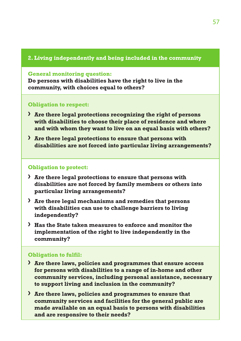#### **2. Living independently and being included in the community**

**General monitoring question:** 

**Do persons with disabilities have the right to live in the community, with choices equal to others?** 

#### **Obligation to respect:**

- **› Are there legal protections recognizing the right of persons with disabilities to choose their place of residence and where and with whom they want to live on an equal basis with others?**
- **› Are there legal protections to ensure that persons with disabilities are not forced into particular living arrangements?**

#### **Obligation to protect:**

- **› Are there legal protections to ensure that persons with disabilities are not forced by family members or others into particular living arrangements?**
- **› Are there legal mechanisms and remedies that persons with disabilities can use to challenge barriers to living independently?**
- **› Has the State taken measures to enforce and monitor the implementation of the right to live independently in the community?**

#### **Obligation to fulfil:**

- **› Are there laws, policies and programmes that ensure access for persons with disabilities to a range of in-home and other community services, including personal assistance, necessary to support living and inclusion in the community?**
- **› Are there laws, policies and programmes to ensure that community services and facilities for the general public are made available on an equal basis to persons with disabilities and are responsive to their needs?**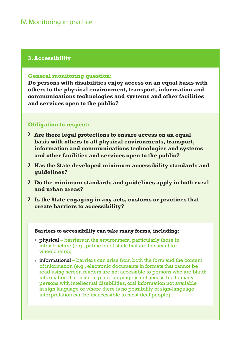### IV. Monitoring in practice

### **3. Accessibility**

#### **General monitoring question:**

**Do persons with disabilities enjoy access on an equal basis with others to the physical environment, transport, information and communications technologies and systems and other facilities and services open to the public?** 

#### **Obligation to respect:**

- **› Are there legal protections to ensure access on an equal basis with others to all physical environments, transport, information and communications technologies and systems and other facilities and services open to the public?**
- **› Has the State developed minimum accessibility standards and guidelines?**
- **› Do the minimum standards and guidelines apply in both rural and urban areas?**
- **› Is the State engaging in any acts, customs or practices that create barriers to accessibility?**

#### **Barriers to accessibility can take many forms, including:**

- **›** physical barriers in the environment, particularly those in infrastructure (e.g., public toilet stalls that are too small for wheelchairs);
- **›** informational barriers can arise from both the form and the content of information (e.g., electronic documents in formats that cannot be read using screen readers are not accessible to persons who are blind; information that is not in plain language is not accessible to many persons with intellectual disabilities, oral information not available in sign language or where there is no possibility of sign-language interpretation can be inaccessible to most deaf people).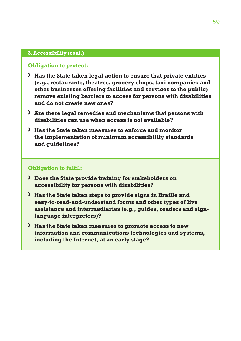#### **3. Accessibility (cont.)**

#### **Obligation to protect:**

- **› Has the State taken legal action to ensure that private entities (e.g., restaurants, theatres, grocery shops, taxi companies and other businesses offering facilities and services to the public) remove existing barriers to access for persons with disabilities and do not create new ones?**
- **› Are there legal remedies and mechanisms that persons with disabilities can use when access is not available?**
- **› Has the State taken measures to enforce and monitor the implementation of minimum accessibility standards and guidelines?**

#### **Obligation to fulfil:**

- **› Does the State provide training for stakeholders on accessibility for persons with disabilities?**
- **› Has the State taken steps to provide signs in Braille and easy-to-read-and-understand forms and other types of live assistance and intermediaries (e.g., guides, readers and signlanguage interpreters)?**
- **› Has the State taken measures to promote access to new information and communications technologies and systems, including the Internet, at an early stage?**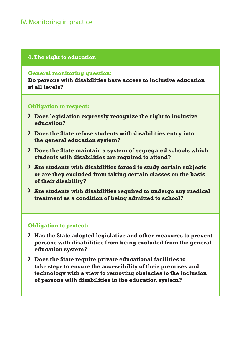### IV. Monitoring in practice

#### **4. The right to education**

#### **General monitoring question:**

**Do persons with disabilities have access to inclusive education at all levels?**

#### **Obligation to respect:**

- **› Does legislation expressly recognize the right to inclusive education?**
- **› Does the State refuse students with disabilities entry into the general education system?**
- **› Does the State maintain a system of segregated schools which students with disabilities are required to attend?**
- **› Are students with disabilities forced to study certain subjects or are they excluded from taking certain classes on the basis of their disability?**
- **› Are students with disabilities required to undergo any medical treatment as a condition of being admitted to school?**

#### **Obligation to protect:**

- **› Has the State adopted legislative and other measures to prevent persons with disabilities from being excluded from the general education system?**
- **› Does the State require private educational facilities to take steps to ensure the accessibility of their premises and technology with a view to removing obstacles to the inclusion of persons with disabilities in the education system?**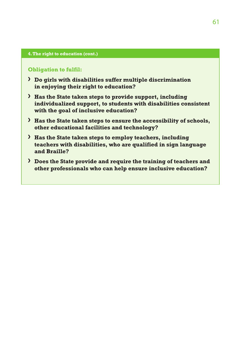#### **4. The right to education (cont.)**

#### **Obligation to fulfil:**

- **› Do girls with disabilities suffer multiple discrimination in enjoying their right to education?**
- **› Has the State taken steps to provide support, including individualized support, to students with disabilities consistent with the goal of inclusive education?**
- **› Has the State taken steps to ensure the accessibility of schools, other educational facilities and technology?**
- **› Has the State taken steps to employ teachers, including teachers with disabilities, who are qualified in sign language and Braille?**
- **› Does the State provide and require the training of teachers and other professionals who can help ensure inclusive education?**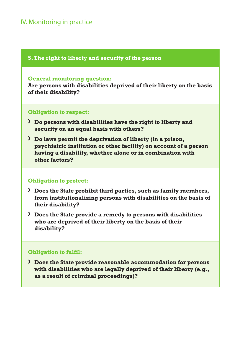### IV. Monitoring in practice

### **5. The right to liberty and security of the person**

#### **General monitoring question:**

**Are persons with disabilities deprived of their liberty on the basis of their disability?**

#### **Obligation to respect:**

- **› Do persons with disabilities have the right to liberty and security on an equal basis with others?**
- **› Do laws permit the deprivation of liberty (in a prison, psychiatric institution or other facility) on account of a person having a disability, whether alone or in combination with other factors?**

### **Obligation to protect:**

- **› Does the State prohibit third parties, such as family members, from institutionalizing persons with disabilities on the basis of their disability?**
- **› Does the State provide a remedy to persons with disabilities who are deprived of their liberty on the basis of their disability?**

### **Obligation to fulfil:**

**› Does the State provide reasonable accommodation for persons with disabilities who are legally deprived of their liberty (e.g., as a result of criminal proceedings)?**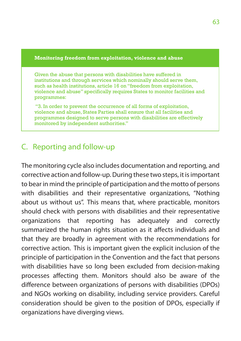#### <span id="page-62-0"></span>**Monitoring freedom from exploitation, violence and abuse**

Given the abuse that persons with disabilities have suffered in institutions and through services which nominally should serve them. such as health institutions, article 16 on "freedom from exploitation, violence and abuse" specifically requires States to monitor facilities and programmes:

 "3. In order to prevent the occurrence of all forms of exploitation, violence and abuse, States Parties shall ensure that all facilities and programmes designed to serve persons with disabilities are effectively monitored by independent authorities."

## C. Reporting and follow-up

The monitoring cycle also includes documentation and reporting, and corrective action and follow-up. During these two steps, it is important to bear in mind the principle of participation and the motto of persons with disabilities and their representative organizations, "Nothing about us without us". This means that, where practicable, monitors should check with persons with disabilities and their representative organizations that reporting has adequately and correctly summarized the human rights situation as it affects individuals and that they are broadly in agreement with the recommendations for corrective action. This is important given the explicit inclusion of the principle of participation in the Convention and the fact that persons with disabilities have so long been excluded from decision-making processes affecting them. Monitors should also be aware of the difference between organizations of persons with disabilities (DPOs) and NGOs working on disability, including service providers. Careful consideration should be given to the position of DPOs, especially if organizations have diverging views.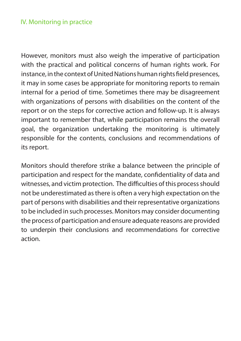### IV. Monitoring in practice

However, monitors must also weigh the imperative of participation with the practical and political concerns of human rights work. For instance, in the context of United Nations human rights field presences, it may in some cases be appropriate for monitoring reports to remain internal for a period of time. Sometimes there may be disagreement with organizations of persons with disabilities on the content of the report or on the steps for corrective action and follow-up. It is always important to remember that, while participation remains the overall goal, the organization undertaking the monitoring is ultimately responsible for the contents, conclusions and recommendations of its report.

Monitors should therefore strike a balance between the principle of participation and respect for the mandate, confidentiality of data and witnesses, and victim protection. The difficulties of this process should not be underestimated as there is often a very high expectation on the part of persons with disabilities and their representative organizations to be included in such processes. Monitors may consider documenting the process of participation and ensure adequate reasons are provided to underpin their conclusions and recommendations for corrective action.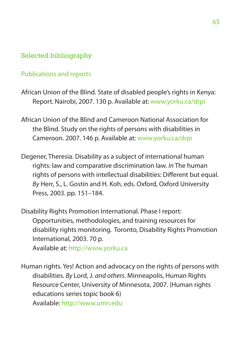### <span id="page-64-0"></span>Selected bibliography

### Publications and reports

- African Union of the Blind. State of disabled people's rights in Kenya: Report. Nairobi, 2007. 130 p. Available at: [www.yorku.ca/drpi](http://www.yorku.ca/drpi)
- African Union of the Blind and Cameroon National Association for the Blind. Study on the rights of persons with disabilities in Cameroon. 2007. 146 p. Available at: [www.yorku.ca/drpi](http://www.yorku.ca/drpi)
- Degener, Theresia. Disability as a subject of international human rights: law and comparative discrimination law. *In* The human rights of persons with intellectual disabilities: Different but equal. *By* Herr, S., L. Gostin and H. Koh, eds. Oxford, Oxford University Press, 2003. pp. 151–184.
- Disability Rights Promotion International. Phase I report: Opportunities, methodologies, and training resources for disability rights monitoring. Toronto, Disability Rights Promotion International, 2003. 70 p.

Available at: <http://www.yorku.ca>

Human rights. Yes! Action and advocacy on the rights of persons with disabilities. *By* Lord, J. *and others*. Minneapolis, Human Rights Resource Center, University of Minnesota, 2007. (Human rights educations series topic book 6) Available:<http://www.umn.edu>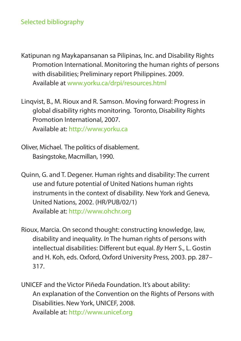### Selected bibliography

- Katipunan ng Maykapansanan sa Pilipinas, Inc. and Disability Rights Promotion International. Monitoring the human rights of persons with disabilities; Preliminary report Philippines. 2009. Available at [www.yorku.ca/drpi](http://www.yorku.ca/drpi)/resources.html
- Linqvist, B., M. Rioux and R. Samson. Moving forward: Progress in global disability rights monitoring. Toronto, Disability Rights Promotion International, 2007. Available at: http://www.yorku.ca
- Oliver, Michael. The politics of disablement. Basingstoke, Macmillan, 1990.
- Quinn, G. and T. Degener. Human rights and disability: The current use and future potential of United Nations human rights instruments in the context of disability*.* New York and Geneva, United Nations, 2002. (HR/PUB/02/1) Available at: <http://www.ohchr.org>
- Rioux, Marcia. On second thought: constructing knowledge, law, disability and inequality. *In* The human rights of persons with intellectual disabilities: Different but equal. *By* Herr S., L. Gostin and H. Koh, eds. Oxford, Oxford University Press, 2003. pp. 287– 317.
- UNICEF and the Victor Piñeda Foundation. It's about ability: An explanation of the Convention on the Rights of Persons with Disabilities. New York, UNICEF, 2008. Available at: <http://www.unicef.org>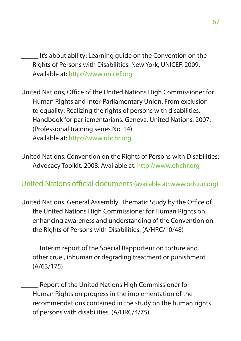It's about ability: Learning guide on the Convention on the Rights of Persons with Disabilities. New York, UNICEF, 2009. Available at: [http://www.unicef.org](http://www.unicef.org/publications/files/Its_About_Ability_Learning_Guide_EN.pdf)

United Nations, Office of the United Nations High Commissioner for Human Rights and Inter-Parliamentary Union. From exclusion to equality: Realizing the rights of persons with disabilities. Handbook for parliamentarians. Geneva, United Nations, 2007. (Professional training series No. 14) Available at: [http://www.ohchr.org](http://www.ohchr.org/Documents/Publications/training14en.pdf)

United Nations. Convention on the Rights of Persons with Disabilities: Advocacy Toolkit. 2008. Available at: <http://www.ohchr.org>

United Nations official documents (available at: www.ods.un.org)

United Nations. General Assembly. Thematic Study by the Office of the United Nations High Commissioner for Human Rights on enhancing awareness and understanding of the Convention on the Rights of Persons with Disabilities. (A/HRC/10/48)

\_\_\_\_\_ Interim report of the Special Rapporteur on torture and other cruel, inhuman or degrading treatment or punishment. (A/63/175)

\_\_\_\_\_ Report of the United Nations High Commissioner for Human Rights on progress in the implementation of the recommendations contained in the study on the human rights of persons with disabilities. (A/HRC/4/75)